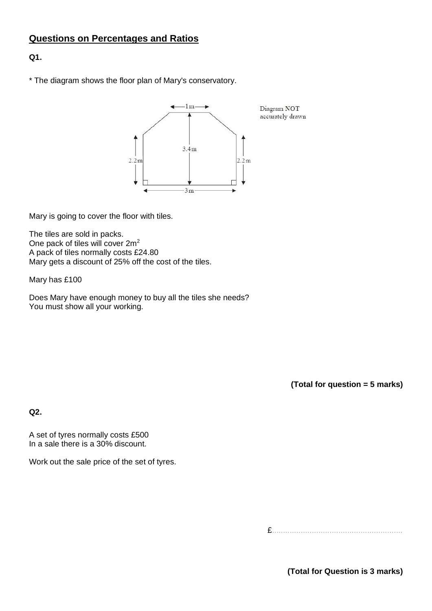# **Questions on Percentages and Ratios**

## **Q1.**

\* The diagram shows the floor plan of Mary's conservatory.



Mary is going to cover the floor with tiles.

The tiles are sold in packs. One pack of tiles will cover 2m<sup>2</sup> A pack of tiles normally costs £24.80 Mary gets a discount of 25% off the cost of the tiles.

Mary has £100

Does Mary have enough money to buy all the tiles she needs? You must show all your working.

**(Total for question = 5 marks)**

**Q2.**

A set of tyres normally costs £500 In a sale there is a 30% discount.

Work out the sale price of the set of tyres.

£...........................................................

**(Total for Question is 3 marks)**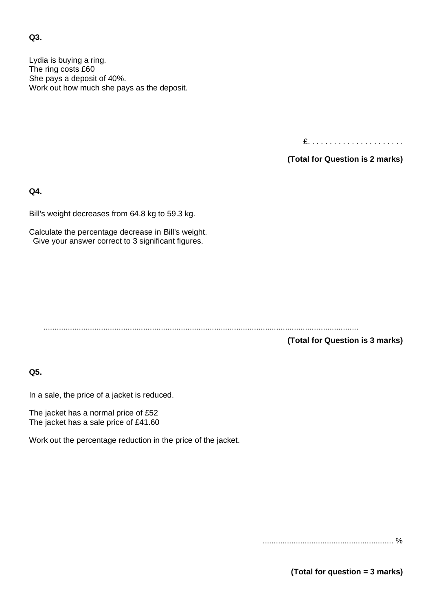### **Q3.**

Lydia is buying a ring. The ring costs £60 She pays a deposit of 40%. Work out how much she pays as the deposit.

£. . . . . . . . . . . . . . . . . . . . . .

**(Total for Question is 2 marks)**

**Q4.**

Bill's weight decreases from 64.8 kg to 59.3 kg.

Calculate the percentage decrease in Bill's weight. Give your answer correct to 3 significant figures.

..............................................................................................................................................

**(Total for Question is 3 marks)**

**Q5.**

In a sale, the price of a jacket is reduced.

The jacket has a normal price of £52 The jacket has a sale price of £41.60

Work out the percentage reduction in the price of the jacket.

........................................................... %

**(Total for question = 3 marks)**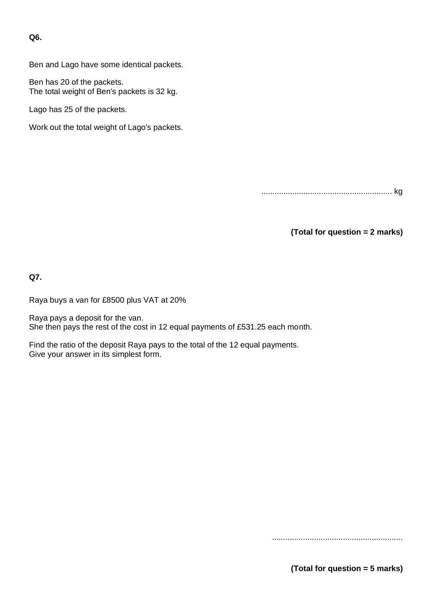**Q6.**

Ben and Lago have some identical packets.

Ben has 20 of the packets. The total weight of Ben's packets is 32 kg.

Lago has 25 of the packets.

Work out the total weight of Lago's packets.

........................................................... kg

**(Total for question = 2 marks)**

**Q7.**

Raya buys a van for £8500 plus VAT at 20%

Raya pays a deposit for the van. She then pays the rest of the cost in 12 equal payments of £531.25 each month.

Find the ratio of the deposit Raya pays to the total of the 12 equal payments. Give your answer in its simplest form.

...........................................................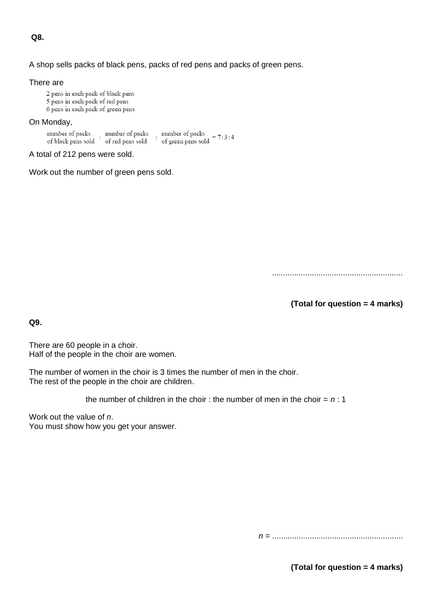**Q8.**

### A shop sells packs of black pens, packs of red pens and packs of green pens.

#### There are

2 pens in each pack of black pens 5 pens in each pack of red pens 6 pens in each pack of green pens

### On Monday,

 $\therefore$  number of packs  $\begin{tabular}{ll} number of packs & number of packs \\ \hline of black pens sold & of red pens sold \end{tabular}$ number of packs<br>of green pens sold =  $7:3:4$ 

```
A total of 212 pens were sold.
```
Work out the number of green pens sold.

...........................................................

**(Total for question = 4 marks)**

**Q9.**

There are 60 people in a choir. Half of the people in the choir are women.

The number of women in the choir is 3 times the number of men in the choir. The rest of the people in the choir are children.

the number of children in the choir : the number of men in the choir  $= n : 1$ 

Work out the value of *n*. You must show how you get your answer.

*n* = ...........................................................

**(Total for question = 4 marks)**